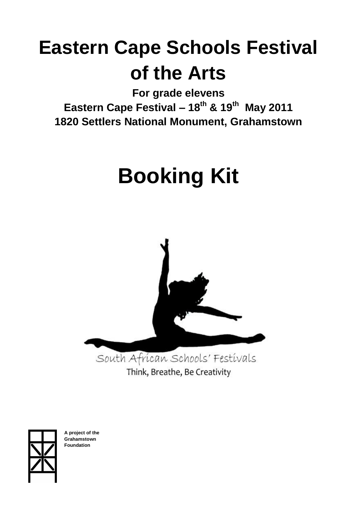## **Eastern Cape Schools Festival of the Arts**

**For grade elevens Eastern Cape Festival – 18th & 19th May 2011 1820 Settlers National Monument, Grahamstown**

# **Booking Kit**



Think, Breathe, Be Creativity



**A project of the Grahamstown Foundation**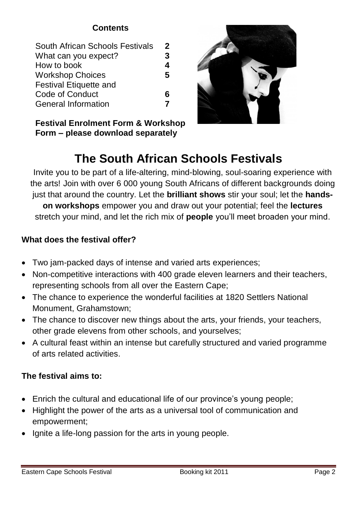## **Contents**

| South African Schools Festivals | 2 |
|---------------------------------|---|
| What can you expect?            | 3 |
| How to book                     | 4 |
| <b>Workshop Choices</b>         | 5 |
| <b>Festival Etiquette and</b>   |   |
| Code of Conduct                 | 6 |
| <b>General Information</b>      |   |
|                                 |   |

**Festival Enrolment Form & Workshop Form – please download separately**



## **The South African Schools Festivals**

Invite you to be part of a life-altering, mind-blowing, soul-soaring experience with the arts! Join with over 6 000 young South Africans of different backgrounds doing just that around the country. Let the **brilliant shows** stir your soul; let the **handson workshops** empower you and draw out your potential; feel the **lectures** stretch your mind, and let the rich mix of **people** you'll meet broaden your mind.

## **What does the festival offer?**

- Two jam-packed days of intense and varied arts experiences;
- Non-competitive interactions with 400 grade eleven learners and their teachers, representing schools from all over the Eastern Cape;
- The chance to experience the wonderful facilities at 1820 Settlers National Monument, Grahamstown;
- The chance to discover new things about the arts, your friends, your teachers, other grade elevens from other schools, and yourselves;
- A cultural feast within an intense but carefully structured and varied programme of arts related activities.

## **The festival aims to:**

- Enrich the cultural and educational life of our province's young people;
- Highlight the power of the arts as a universal tool of communication and empowerment;
- Ignite a life-long passion for the arts in young people.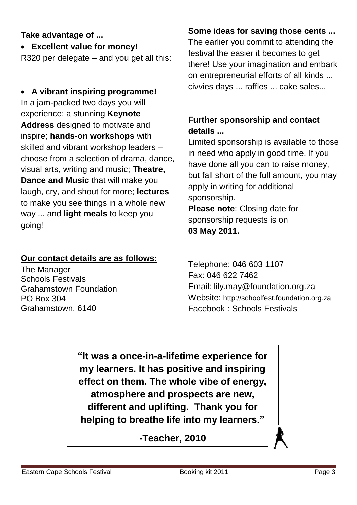## **Take advantage of ...**

**Excellent value for money!**

R320 per delegate – and you get all this:

 **A vibrant inspiring programme!** In a jam-packed two days you will experience: a stunning **Keynote Address** designed to motivate and inspire; **hands-on workshops** with skilled and vibrant workshop leaders – choose from a selection of drama, dance, visual arts, writing and music; **Theatre, Dance and Music** that will make you laugh, cry, and shout for more; **lectures** to make you see things in a whole new way ... and **light meals** to keep you going!

#### **Our contact details are as follows:**

The Manager Schools Festivals Grahamstown Foundation PO Box 304 Grahamstown, 6140

## **Some ideas for saving those cents ...**

The earlier you commit to attending the festival the easier it becomes to get there! Use your imagination and embark on entrepreneurial efforts of all kinds ... civvies days ... raffles ... cake sales...

## **Further sponsorship and contact details ...**

Limited sponsorship is available to those in need who apply in good time. If you have done all you can to raise money, but fall short of the full amount, you may apply in writing for additional sponsorship. **Please note**: Closing date for sponsorship requests is on

## **03 May 2011.**

Telephone: 046 603 1107 Fax: 046 622 7462 Email: lily.may@foundation.org.za Website: http://schoolfest.foundation.org.za Facebook : Schools Festivals

**"It was a once-in-a-lifetime experience for my learners. It has positive and inspiring effect on them. The whole vibe of energy, atmosphere and prospects are new, different and uplifting. Thank you for helping to breathe life into my learners."**

**-Teacher, 2010**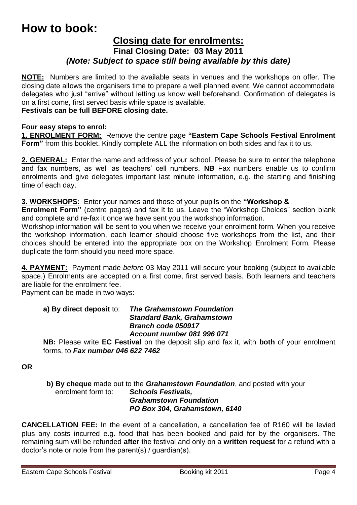## **How to book:**

#### **Closing date for enrolments: Final Closing Date: 03 May 2011** *(Note: Subject to space still being available by this date)*

**NOTE:** Numbers are limited to the available seats in venues and the workshops on offer. The closing date allows the organisers time to prepare a well planned event. We cannot accommodate delegates who just "arrive" without letting us know well beforehand. Confirmation of delegates is on a first come, first served basis while space is available.

#### **Festivals can be full BEFORE closing date.**

#### **Four easy steps to enrol:**

**1. ENROLMENT FORM:** Remove the centre page **"Eastern Cape Schools Festival Enrolment Form"** from this booklet. Kindly complete ALL the information on both sides and fax it to us.

**2. GENERAL:** Enter the name and address of your school. Please be sure to enter the telephone and fax numbers, as well as teachers' cell numbers. **NB** Fax numbers enable us to confirm enrolments and give delegates important last minute information, e.g. the starting and finishing time of each day.

**3. WORKSHOPS:** Enter your names and those of your pupils on the **"Workshop &**

**Enrolment Form"** (centre pages) and fax it to us. Leave the "Workshop Choices" section blank and complete and re-fax it once we have sent you the workshop information.

Workshop information will be sent to you when we receive your enrolment form. When you receive the workshop information, each learner should choose five workshops from the list, and their choices should be entered into the appropriate box on the Workshop Enrolment Form. Please duplicate the form should you need more space.

**4. PAYMENT:** Payment made *before* 03 May 2011 will secure your booking (subject to available space.) Enrolments are accepted on a first come, first served basis. Both learners and teachers are liable for the enrolment fee.

Payment can be made in two ways:

#### **a) By direct deposit** to: *The Grahamstown Foundation Standard Bank, Grahamstown Branch code 050917 Account number 081 996 071*

**NB:** Please write **EC Festival** on the deposit slip and fax it, with **both** of your enrolment forms, to *Fax number 046 622 7462*

**OR**

**b) By cheque** made out to the *Grahamstown Foundation*, and posted with your enrolment form to: *Schools Festivals, Grahamstown Foundation PO Box 304, Grahamstown, 6140*

**CANCELLATION FEE:** In the event of a cancellation, a cancellation fee of R160 will be levied plus any costs incurred e.g. food that has been booked and paid for by the organisers. The remaining sum will be refunded **after** the festival and only on a **written request** for a refund with a doctor's note or note from the parent(s) / guardian(s).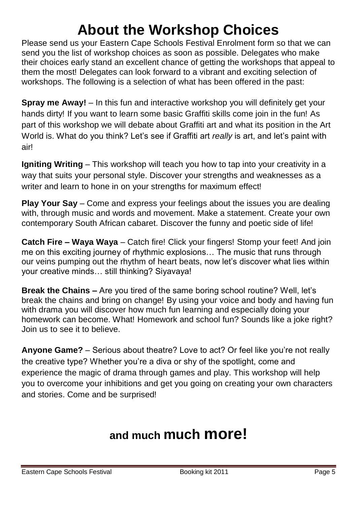## **About the Workshop Choices**

Please send us your Eastern Cape Schools Festival Enrolment form so that we can send you the list of workshop choices as soon as possible. Delegates who make their choices early stand an excellent chance of getting the workshops that appeal to them the most! Delegates can look forward to a vibrant and exciting selection of workshops. The following is a selection of what has been offered in the past:

**Spray me Away!** – In this fun and interactive workshop you will definitely get your hands dirty! If you want to learn some basic Graffiti skills come join in the fun! As part of this workshop we will debate about Graffiti art and what its position in the Art World is. What do you think? Let's see if Graffiti art *really* is art, and let's paint with air!

**Igniting Writing** – This workshop will teach you how to tap into your creativity in a way that suits your personal style. Discover your strengths and weaknesses as a writer and learn to hone in on your strengths for maximum effect!

**Play Your Say** – Come and express your feelings about the issues you are dealing with, through music and words and movement. Make a statement. Create your own contemporary South African cabaret. Discover the funny and poetic side of life!

**Catch Fire – Waya Waya** – Catch fire! Click your fingers! Stomp your feet! And join me on this exciting journey of rhythmic explosions… The music that runs through our veins pumping out the rhythm of heart beats, now let's discover what lies within your creative minds… still thinking? Siyavaya!

**Break the Chains –** Are you tired of the same boring school routine? Well, let's break the chains and bring on change! By using your voice and body and having fun with drama you will discover how much fun learning and especially doing your homework can become. What! Homework and school fun? Sounds like a joke right? Join us to see it to believe.

**Anyone Game?** – Serious about theatre? Love to act? Or feel like you're not really the creative type? Whether you're a diva or shy of the spotlight, come and experience the magic of drama through games and play. This workshop will help you to overcome your inhibitions and get you going on creating your own characters and stories. Come and be surprised!

## **and much much more!**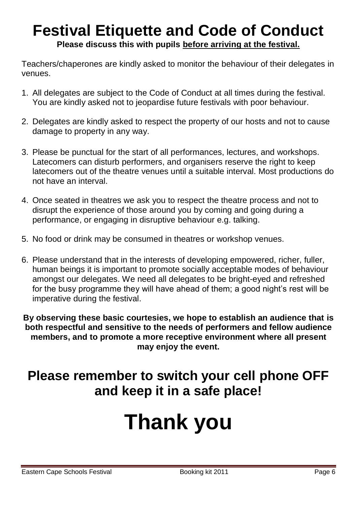## **Festival Etiquette and Code of Conduct Please discuss this with pupils before arriving at the festival.**

Teachers/chaperones are kindly asked to monitor the behaviour of their delegates in venues.

- 1. All delegates are subject to the Code of Conduct at all times during the festival. You are kindly asked not to jeopardise future festivals with poor behaviour.
- 2. Delegates are kindly asked to respect the property of our hosts and not to cause damage to property in any way.
- 3. Please be punctual for the start of all performances, lectures, and workshops. Latecomers can disturb performers, and organisers reserve the right to keep latecomers out of the theatre venues until a suitable interval. Most productions do not have an interval.
- 4. Once seated in theatres we ask you to respect the theatre process and not to disrupt the experience of those around you by coming and going during a performance, or engaging in disruptive behaviour e.g. talking.
- 5. No food or drink may be consumed in theatres or workshop venues.
- 6. Please understand that in the interests of developing empowered, richer, fuller, human beings it is important to promote socially acceptable modes of behaviour amongst our delegates. We need all delegates to be bright-eyed and refreshed for the busy programme they will have ahead of them; a good night's rest will be imperative during the festival.

**By observing these basic courtesies, we hope to establish an audience that is both respectful and sensitive to the needs of performers and fellow audience members, and to promote a more receptive environment where all present may enjoy the event.**

## **Please remember to switch your cell phone OFF and keep it in a safe place!**

# **Thank you**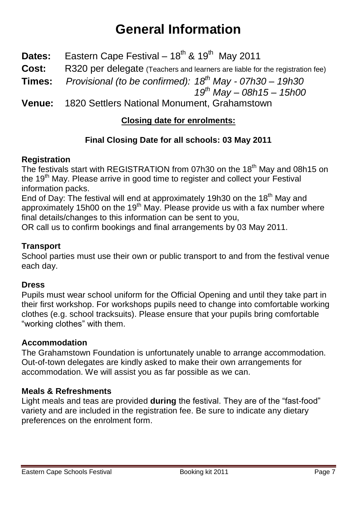## **General Information**

- **Dates:** Eastern Cape Festival 18<sup>th</sup> & 19<sup>th</sup> May 2011
- **Cost:** R320 per delegate (Teachers and learners are liable for the registration fee)
- **Times:** *Provisional (to be confirmed): 18th May - 07h30 – 19h30*

*19 th May – 08h15 – 15h00*

**Venue:** 1820 Settlers National Monument, Grahamstown

## **Closing date for enrolments:**

## **Final Closing Date for all schools: 03 May 2011**

## **Registration**

The festivals start with REGISTRATION from 07h30 on the 18<sup>th</sup> May and 08h15 on the 19<sup>th</sup> May. Please arrive in good time to register and collect your Festival information packs.

End of Day: The festival will end at approximately 19h30 on the 18<sup>th</sup> May and approximately 15h00 on the 19<sup>th</sup> May. Please provide us with a fax number where final details/changes to this information can be sent to you,

OR call us to confirm bookings and final arrangements by 03 May 2011.

## **Transport**

School parties must use their own or public transport to and from the festival venue each day.

#### **Dress**

Pupils must wear school uniform for the Official Opening and until they take part in their first workshop. For workshops pupils need to change into comfortable working clothes (e.g. school tracksuits). Please ensure that your pupils bring comfortable "working clothes" with them.

## **Accommodation**

The Grahamstown Foundation is unfortunately unable to arrange accommodation. Out-of-town delegates are kindly asked to make their own arrangements for accommodation. We will assist you as far possible as we can.

## **Meals & Refreshments**

Light meals and teas are provided **during** the festival. They are of the "fast-food" variety and are included in the registration fee. Be sure to indicate any dietary preferences on the enrolment form.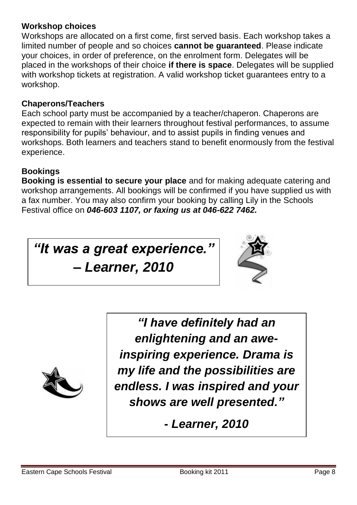## **Workshop choices**

Workshops are allocated on a first come, first served basis. Each workshop takes a limited number of people and so choices **cannot be guaranteed**. Please indicate your choices, in order of preference, on the enrolment form. Delegates will be placed in the workshops of their choice **if there is space**. Delegates will be supplied with workshop tickets at registration. A valid workshop ticket guarantees entry to a workshop.

## **Chaperons/Teachers**

Each school party must be accompanied by a teacher/chaperon. Chaperons are expected to remain with their learners throughout festival performances, to assume responsibility for pupils' behaviour, and to assist pupils in finding venues and workshops. Both learners and teachers stand to benefit enormously from the festival experience.

## **Bookings**

**Booking is essential to secure your place** and for making adequate catering and workshop arrangements. All bookings will be confirmed if you have supplied us with a fax number. You may also confirm your booking by calling Lily in the Schools Festival office on *046-603 1107, or faxing us at 046-622 7462.*

*"It was a great experience."* 

*– Learner, 2010*





*"I have definitely had an enlightening and an aweinspiring experience. Drama is my life and the possibilities are endless. I was inspired and your shows are well presented."*

*- Learner, 2010*